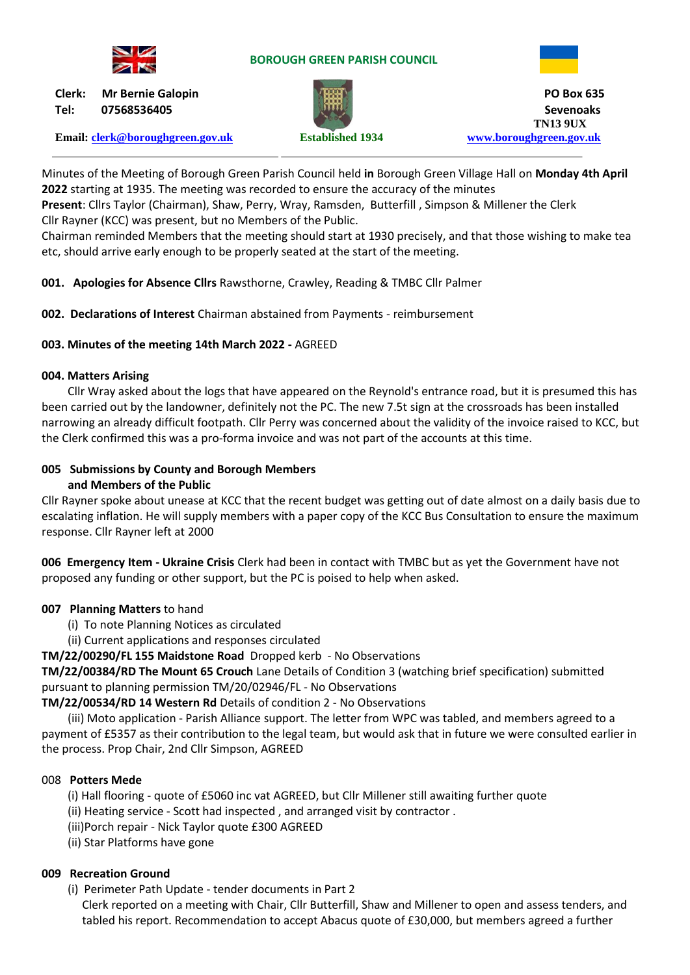

#### **BOROUGH GREEN PARISH COUNCIL**



**Tel: 07568536405 Sevenoaks**

**Email: [clerk@boroughgreen.gov.uk](mailto:clerk@boroughgreen.gov.uk) Established 1934 [www.boroughgreen.gov.uk](http://www.boroughgreen.gov.uk/)**



**Clerk: Mr Bernie Galopin PO Box 635 TN13 9UX**

Minutes of the Meeting of Borough Green Parish Council held **in** Borough Green Village Hall on **Monday 4th April 2022** starting at 1935. The meeting was recorded to ensure the accuracy of the minutes

**Present**: Cllrs Taylor (Chairman), Shaw, Perry, Wray, Ramsden, Butterfill , Simpson & Millener the Clerk Cllr Rayner (KCC) was present, but no Members of the Public.

Chairman reminded Members that the meeting should start at 1930 precisely, and that those wishing to make tea etc, should arrive early enough to be properly seated at the start of the meeting.

**001. Apologies for Absence Cllrs** Rawsthorne, Crawley, Reading & TMBC Cllr Palmer

**002. Declarations of Interest** Chairman abstained from Payments - reimbursement

## **003. Minutes of the meeting 14th March 2022 -** AGREED

## **004. Matters Arising**

Cllr Wray asked about the logs that have appeared on the Reynold's entrance road, but it is presumed this has been carried out by the landowner, definitely not the PC. The new 7.5t sign at the crossroads has been installed narrowing an already difficult footpath. Cllr Perry was concerned about the validity of the invoice raised to KCC, but the Clerk confirmed this was a pro-forma invoice and was not part of the accounts at this time.

#### **005 Submissions by County and Borough Members and Members of the Public**

Cllr Rayner spoke about unease at KCC that the recent budget was getting out of date almost on a daily basis due to escalating inflation. He will supply members with a paper copy of the KCC Bus Consultation to ensure the maximum response. Cllr Rayner left at 2000

**006 Emergency Item - Ukraine Crisis** Clerk had been in contact with TMBC but as yet the Government have not proposed any funding or other support, but the PC is poised to help when asked.

## **007 Planning Matters** to hand

- (i) To note Planning Notices as circulated
- (ii) Current applications and responses circulated

## **TM/22/00290/FL 155 Maidstone Road** Dropped kerb - No Observations

**TM/22/00384/RD The Mount 65 Crouch** Lane Details of Condition 3 (watching brief specification) submitted pursuant to planning permission TM/20/02946/FL - No Observations

**TM/22/00534/RD 14 Western Rd** Details of condition 2 - No Observations

 (iii) Moto application - Parish Alliance support. The letter from WPC was tabled, and members agreed to a payment of £5357 as their contribution to the legal team, but would ask that in future we were consulted earlier in the process. Prop Chair, 2nd Cllr Simpson, AGREED

## 008 **Potters Mede**

(i) Hall flooring - quote of £5060 inc vat AGREED, but Cllr Millener still awaiting further quote

(ii) Heating service - Scott had inspected , and arranged visit by contractor .

- (iii)Porch repair Nick Taylor quote £300 AGREED
- (ii) Star Platforms have gone

## **009 Recreation Ground**

(i) Perimeter Path Update - tender documents in Part 2

 Clerk reported on a meeting with Chair, Cllr Butterfill, Shaw and Millener to open and assess tenders, and tabled his report. Recommendation to accept Abacus quote of £30,000, but members agreed a further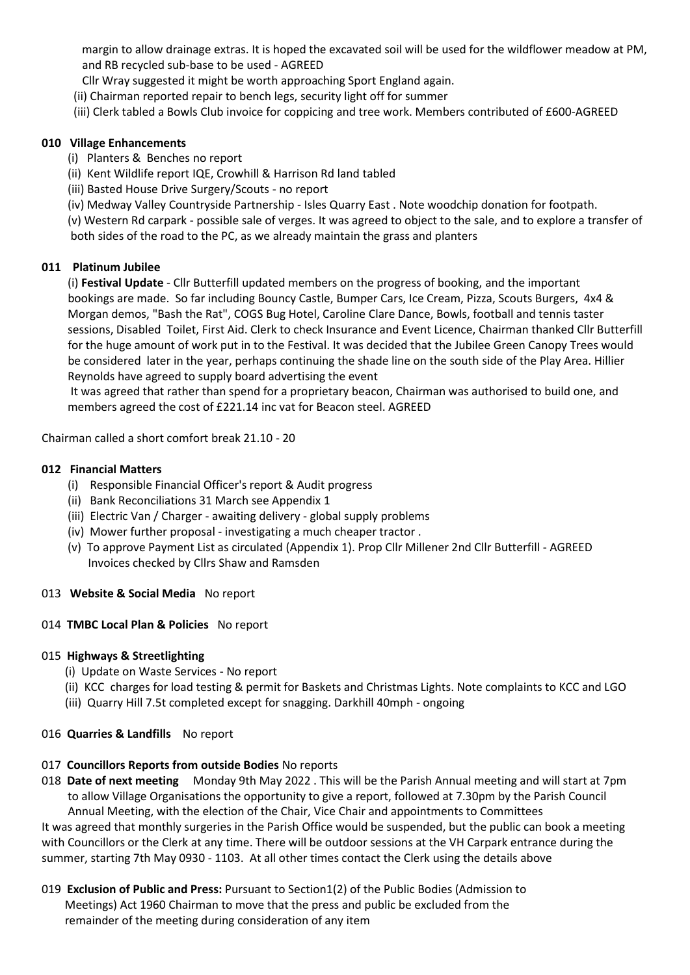margin to allow drainage extras. It is hoped the excavated soil will be used for the wildflower meadow at PM, and RB recycled sub-base to be used - AGREED

- Cllr Wray suggested it might be worth approaching Sport England again.
- (ii) Chairman reported repair to bench legs, security light off for summer
- (iii) Clerk tabled a Bowls Club invoice for coppicing and tree work. Members contributed of £600-AGREED

#### **010 Village Enhancements**

- (i) Planters & Benches no report
- (ii) Kent Wildlife report IQE, Crowhill & Harrison Rd land tabled
- (iii) Basted House Drive Surgery/Scouts no report
- (iv) Medway Valley Countryside Partnership Isles Quarry East . Note woodchip donation for footpath.

 (v) Western Rd carpark - possible sale of verges. It was agreed to object to the sale, and to explore a transfer of both sides of the road to the PC, as we already maintain the grass and planters

### **011 Platinum Jubilee**

 (i) **Festival Update** - Cllr Butterfill updated members on the progress of booking, and the important bookings are made. So far including Bouncy Castle, Bumper Cars, Ice Cream, Pizza, Scouts Burgers, 4x4 & Morgan demos, "Bash the Rat", COGS Bug Hotel, Caroline Clare Dance, Bowls, football and tennis taster sessions, Disabled Toilet, First Aid. Clerk to check Insurance and Event Licence, Chairman thanked Cllr Butterfill for the huge amount of work put in to the Festival. It was decided that the Jubilee Green Canopy Trees would be considered later in the year, perhaps continuing the shade line on the south side of the Play Area. Hillier Reynolds have agreed to supply board advertising the event

 It was agreed that rather than spend for a proprietary beacon, Chairman was authorised to build one, and members agreed the cost of £221.14 inc vat for Beacon steel. AGREED

Chairman called a short comfort break 21.10 - 20

#### **012 Financial Matters**

- (i) Responsible Financial Officer's report & Audit progress
- (ii) Bank Reconciliations 31 March see Appendix 1
- (iii) Electric Van / Charger awaiting delivery global supply problems
- (iv) Mower further proposal investigating a much cheaper tractor .
- (v) To approve Payment List as circulated (Appendix 1). Prop Cllr Millener 2nd Cllr Butterfill AGREED Invoices checked by Cllrs Shaw and Ramsden

#### 013 **Website & Social Media** No report

#### 014 **TMBC Local Plan & Policies** No report

#### 015 **Highways & Streetlighting**

- (i) Update on Waste Services No report
- (ii) KCC charges for load testing & permit for Baskets and Christmas Lights. Note complaints to KCC and LGO
- (iii) Quarry Hill 7.5t completed except for snagging. Darkhill 40mph ongoing

## 016 **Quarries & Landfills** No report

#### 017 **Councillors Reports from outside Bodies** No reports

018 **Date of next meeting** Monday 9th May 2022 . This will be the Parish Annual meeting and will start at 7pm to allow Village Organisations the opportunity to give a report, followed at 7.30pm by the Parish Council Annual Meeting, with the election of the Chair, Vice Chair and appointments to Committees

It was agreed that monthly surgeries in the Parish Office would be suspended, but the public can book a meeting with Councillors or the Clerk at any time. There will be outdoor sessions at the VH Carpark entrance during the summer, starting 7th May 0930 - 1103. At all other times contact the Clerk using the details above

019 **Exclusion of Public and Press:** Pursuant to Section1(2) of the Public Bodies (Admission to Meetings) Act 1960 Chairman to move that the press and public be excluded from the remainder of the meeting during consideration of any item